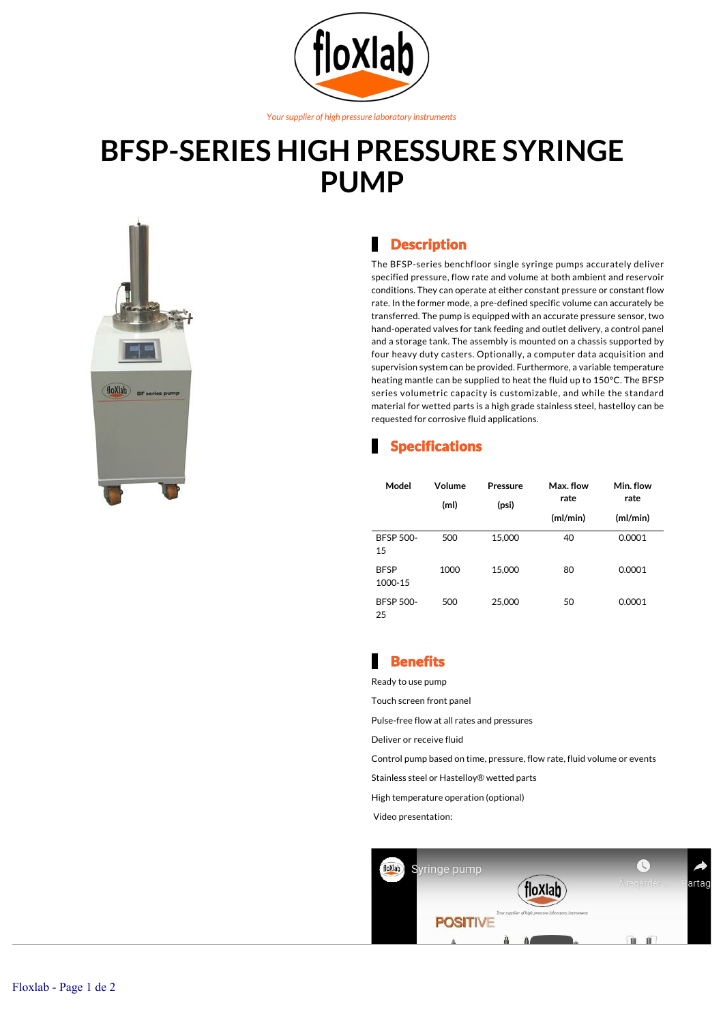

#### *Your supplier of high pressure laboratory instruments*

# **BFSP-SERIES HIGH PRESSURE SYRINGE PUMP**



#### **Description**

The BFSP-series benchfloor single syringe pumps accurately deliver specified pressure, flow rate and volume at both ambient and reservoir conditions. They can operate at either constant pressure or constant flow rate. In the former mode, a pre-defined specific volume can accurately be transferred. The pump is equipped with an accurate pressure sensor, two hand-operated valves for tank feeding and outlet delivery, a control panel and a storage tank. The assembly is mounted on a chassis supported by four heavy duty casters. Optionally, a computer data acquisition and supervision system can be provided. Furthermore, a variable temperature heating mantle can be supplied to heat the fluid up to 150°C. The BFSP series volumetric capacity is customizable, and while the standard material for wetted parts is a high grade stainless steel, hastelloy can be requested for corrosive fluid applications.

### Specifications

| Model                  | Volume<br>(ml) | <b>Pressure</b><br>(psi) | Max. flow<br>rate | Min. flow<br>rate |
|------------------------|----------------|--------------------------|-------------------|-------------------|
|                        |                |                          | (mI/min)          | (ml/min)          |
| <b>BFSP 500-</b><br>15 | 500            | 15,000                   | 40                | 0.0001            |
| <b>BFSP</b><br>1000-15 | 1000           | 15,000                   | 80                | 0.0001            |
| <b>BFSP 500-</b><br>25 | 500            | 25,000                   | 50                | 0.0001            |

## **Benefits**

Ready to use pump

Touch screen front panel

Pulse-free flow at all rates and pressures

Deliver or receive fluid

Control pump based on time, pressure, flow rate, fluid volume or events

Stainless steel or Hastelloy® wetted parts

High temperature operation (optional)

Video presentation: